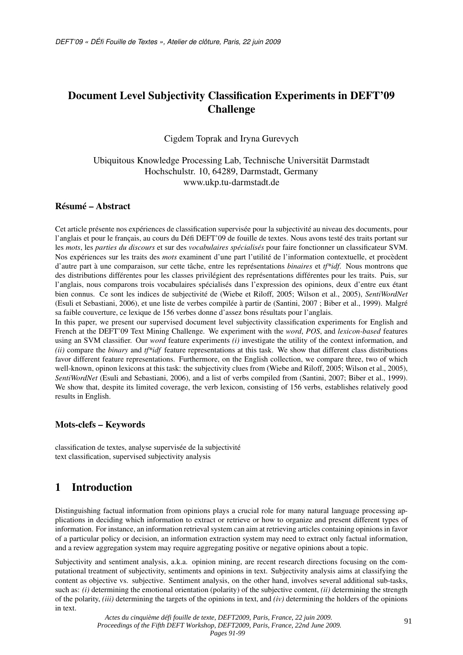# Document Level Subjectivity Classification Experiments in DEFT'09 **Challenge**

Cigdem Toprak and Iryna Gurevych

Ubiquitous Knowledge Processing Lab, Technische Universität Darmstadt Hochschulstr. 10, 64289, Darmstadt, Germany www.ukp.tu-darmstadt.de

### Résumé – Abstract

Cet article présente nos expériences de classification supervisée pour la subjectivité au niveau des documents, pour l'anglais et pour le français, au cours du Défi DEFT'09 de fouille de textes. Nous avons testé des traits portant sur les *mots*, les *parties du discours* et sur des *vocabulaires spécialisés* pour faire fonctionner un classificateur SVM. Nos expériences sur les traits des *mots* examinent d'une part l'utilité de l'information contextuelle, et procèdent d'autre part à une comparaison, sur cette tâche, entre les représentations *binaires* et *tf\*idf*. Nous montrons que des distributions différentes pour les classes privilégient des représentations différentes pour les traits. Puis, sur l'anglais, nous comparons trois vocabulaires spécialisés dans l'expression des opinions, deux d'entre eux étant bien connus. Ce sont les indices de subjectivité de (Wiebe et Riloff, 2005; Wilson et al., 2005), *SentiWordNet* (Esuli et Sebastiani, 2006), et une liste de verbes compilée à partir de (Santini, 2007 ; Biber et al., 1999). Malgré sa faible couverture, ce lexique de 156 verbes donne d'assez bons résultats pour l'anglais.

In this paper, we present our supervised document level subjectivity classification experiments for English and French at the DEFT'09 Text Mining Challenge. We experiment with the *word*, *POS*, and *lexicon-based* features using an SVM classifier. Our *word* feature experiments *(i)* investigate the utility of the context information, and *(ii)* compare the *binary* and *tf\*idf* feature representations at this task. We show that different class distributions favor different feature representations. Furthermore, on the English collection, we compare three, two of which well-known, opinon lexicons at this task: the subjectivity clues from (Wiebe and Riloff, 2005; Wilson et al., 2005), *SentiWordNet* (Esuli and Sebastiani, 2006), and a list of verbs compiled from (Santini, 2007; Biber et al., 1999). We show that, despite its limited coverage, the verb lexicon, consisting of 156 verbs, establishes relatively good results in English.

#### Mots-clefs – Keywords

classification de textes, analyse supervisée de la subjectivité text classification, supervised subjectivity analysis

## 1 Introduction

Distinguishing factual information from opinions plays a crucial role for many natural language processing applications in deciding which information to extract or retrieve or how to organize and present different types of information. For instance, an information retrieval system can aim at retrieving articles containing opinions in favor of a particular policy or decision, an information extraction system may need to extract only factual information, and a review aggregation system may require aggregating positive or negative opinions about a topic.

Subjectivity and sentiment analysis, a.k.a. opinion mining, are recent research directions focusing on the computational treatment of subjectivity, sentiments and opinions in text. Subjectivity analysis aims at classifying the content as objective vs. subjective. Sentiment analysis, on the other hand, involves several additional sub-tasks, such as: *(i)* determining the emotional orientation (polarity) of the subjective content, *(ii)* determining the strength of the polarity, *(iii)* determining the targets of the opinions in text, and *(iv)* determining the holders of the opinions in text.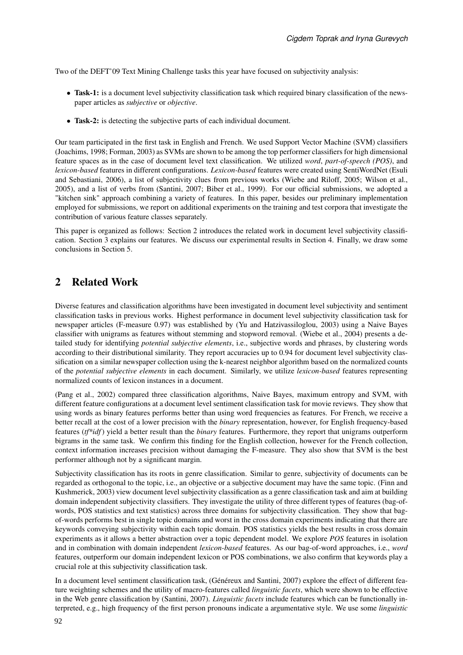Two of the DEFT'09 Text Mining Challenge tasks this year have focused on subjectivity analysis:

- Task-1: is a document level subjectivity classification task which required binary classification of the newspaper articles as *subjective* or *objective*.
- Task-2: is detecting the subjective parts of each individual document.

Our team participated in the first task in English and French. We used Support Vector Machine (SVM) classifiers (Joachims, 1998; Forman, 2003) as SVMs are shown to be among the top performer classifiers for high dimensional feature spaces as in the case of document level text classification. We utilized *word*, *part-of-speech (POS)*, and *lexicon-based* features in different configurations. *Lexicon-based* features were created using SentiWordNet (Esuli and Sebastiani, 2006), a list of subjectivity clues from previous works (Wiebe and Riloff, 2005; Wilson et al., 2005), and a list of verbs from (Santini, 2007; Biber et al., 1999). For our official submissions, we adopted a "kitchen sink" approach combining a variety of features. In this paper, besides our preliminary implementation employed for submissions, we report on additional experiments on the training and test corpora that investigate the contribution of various feature classes separately.

This paper is organized as follows: Section 2 introduces the related work in document level subjectivity classification. Section 3 explains our features. We discuss our experimental results in Section 4. Finally, we draw some conclusions in Section 5.

## 2 Related Work

Diverse features and classification algorithms have been investigated in document level subjectivity and sentiment classification tasks in previous works. Highest performance in document level subjectivity classification task for newspaper articles (F-measure 0.97) was established by (Yu and Hatzivassiloglou, 2003) using a Naive Bayes classifier with unigrams as features without stemming and stopword removal. (Wiebe et al., 2004) presents a detailed study for identifying *potential subjective elements*, i.e., subjective words and phrases, by clustering words according to their distributional similarity. They report accuracies up to 0.94 for document level subjectivity classification on a similar newspaper collection using the k-nearest neighbor algorithm based on the normalized counts of the *potential subjective elements* in each document. Similarly, we utilize *lexicon-based* features representing normalized counts of lexicon instances in a document.

(Pang et al., 2002) compared three classification algorithms, Naive Bayes, maximum entropy and SVM, with different feature configurations at a document level sentiment classification task for movie reviews. They show that using words as binary features performs better than using word frequencies as features. For French, we receive a better recall at the cost of a lower precision with the *binary* representation, however, for English frequency-based features (*tf\*idf*) yield a better result than the *binary* features. Furthermore, they report that unigrams outperform bigrams in the same task. We confirm this finding for the English collection, however for the French collection, context information increases precision without damaging the F-measure. They also show that SVM is the best performer although not by a significant margin.

Subjectivity classification has its roots in genre classification. Similar to genre, subjectivity of documents can be regarded as orthogonal to the topic, i.e., an objective or a subjective document may have the same topic. (Finn and Kushmerick, 2003) view document level subjectivity classification as a genre classification task and aim at building domain independent subjectivity classifiers. They investigate the utility of three different types of features (bag-ofwords, POS statistics and text statistics) across three domains for subjectivity classification. They show that bagof-words performs best in single topic domains and worst in the cross domain experiments indicating that there are keywords conveying subjectivity within each topic domain. POS statistics yields the best results in cross domain experiments as it allows a better abstraction over a topic dependent model. We explore *POS* features in isolation and in combination with domain independent *lexicon-based* features. As our bag-of-word approaches, i.e., *word* features, outperform our domain independent lexicon or POS combinations, we also confirm that keywords play a crucial role at this subjectivity classification task.

In a document level sentiment classification task, (Généreux and Santini, 2007) explore the effect of different feature weighting schemes and the utility of macro-features called *linguistic facets*, which were shown to be effective in the Web genre classification by (Santini, 2007). *Linguistic facets* include features which can be functionally interpreted, e.g., high frequency of the first person pronouns indicate a argumentative style. We use some *linguistic*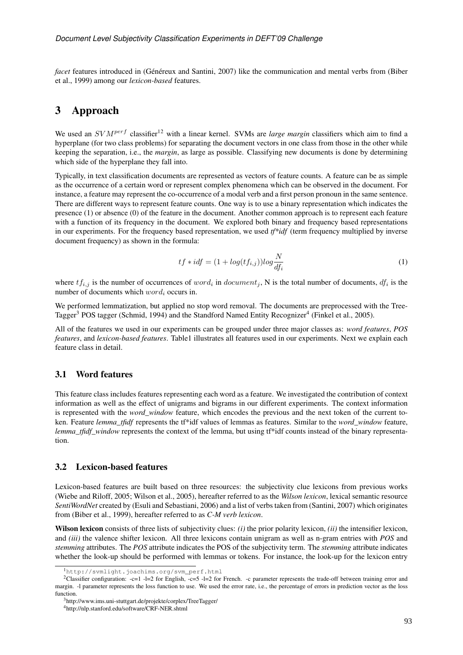*facet* features introduced in (Généreux and Santini, 2007) like the communication and mental verbs from (Biber et al., 1999) among our *lexicon-based* features.

### 3 Approach

We used an  $SVM^{perf}$  classifier<sup>12</sup> with a linear kernel. SVMs are *large margin* classifiers which aim to find a hyperplane (for two class problems) for separating the document vectors in one class from those in the other while keeping the separation, i.e., the *margin*, as large as possible. Classifying new documents is done by determining which side of the hyperplane they fall into.

Typically, in text classification documents are represented as vectors of feature counts. A feature can be as simple as the occurrence of a certain word or represent complex phenomena which can be observed in the document. For instance, a feature may represent the co-occurrence of a modal verb and a first person pronoun in the same sentence. There are different ways to represent feature counts. One way is to use a binary representation which indicates the presence (1) or absence (0) of the feature in the document. Another common approach is to represent each feature with a function of its frequency in the document. We explored both binary and frequency based representations in our experiments. For the frequency based representation, we used *tf\*idf* (term frequency multiplied by inverse document frequency) as shown in the formula:

$$
tf * idf = (1 + log(tf_{i,j}))log \frac{N}{df_i}
$$
\n<sup>(1)</sup>

where  $tf_{i,j}$  is the number of occurrences of  $word_i$  in  $document_j$ , N is the total number of documents,  $df_i$  is the number of documents which  $word_i$  occurs in.

We performed lemmatization, but applied no stop word removal. The documents are preprocessed with the Tree-Tagger<sup>3</sup> POS tagger (Schmid, 1994) and the Standford Named Entity Recognizer<sup>4</sup> (Finkel et al., 2005).

All of the features we used in our experiments can be grouped under three major classes as: *word features*, *POS features*, and *lexicon-based features*. Table1 illustrates all features used in our experiments. Next we explain each feature class in detail.

#### 3.1 Word features

This feature class includes features representing each word as a feature. We investigated the contribution of context information as well as the effect of unigrams and bigrams in our different experiments. The context information is represented with the *word\_window* feature, which encodes the previous and the next token of the current token. Feature *lemma\_tfidf* represents the tf\*idf values of lemmas as features. Similar to the *word\_window* feature, *lemma\_tfidf\_window* represents the context of the lemma, but using tf\*idf counts instead of the binary representation.

#### 3.2 Lexicon-based features

Lexicon-based features are built based on three resources: the subjectivity clue lexicons from previous works (Wiebe and Riloff, 2005; Wilson et al., 2005), hereafter referred to as the *Wilson lexicon*, lexical semantic resource *SentiWordNet* created by (Esuli and Sebastiani, 2006) and a list of verbs taken from (Santini, 2007) which originates from (Biber et al., 1999), hereafter referred to as *C-M verb lexicon*.

Wilson lexicon consists of three lists of subjectivity clues: *(i)* the prior polarity lexicon, *(ii)* the intensifier lexicon, and *(iii)* the valence shifter lexicon. All three lexicons contain unigram as well as n-gram entries with *POS* and *stemming* attributes. The *POS* attribute indicates the POS of the subjectivity term. The *stemming* attribute indicates whether the look-up should be performed with lemmas or tokens. For instance, the look-up for the lexicon entry

<sup>1</sup>http://svmlight.joachims.org/svm\_perf.html

<sup>&</sup>lt;sup>2</sup>Classifier configuration:  $-c=1$  -l=2 for English,  $-c=5$  -l=2 for French. -c parameter represents the trade-off between training error and margin. -l parameter represents the loss function to use. We used the error rate, i.e., the percentage of errors in prediction vector as the loss function.

<sup>3</sup>http://www.ims.uni-stuttgart.de/projekte/corplex/TreeTagger/

<sup>4</sup>http://nlp.stanford.edu/software/CRF-NER.shtml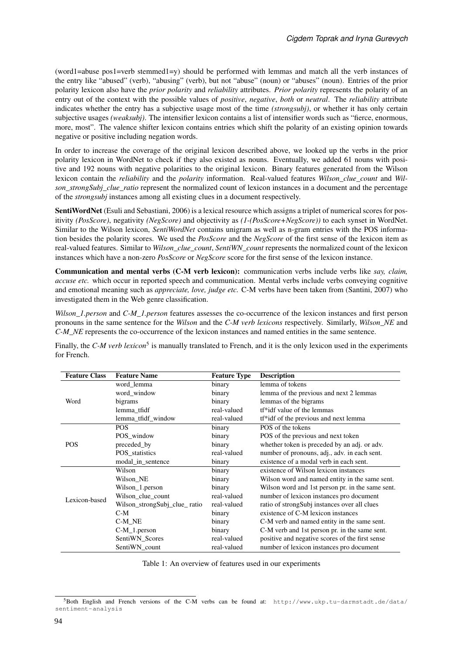(word1=abuse pos1=verb stemmed1=y) should be performed with lemmas and match all the verb instances of the entry like "abused" (verb), "abusing" (verb), but not "abuse" (noun) or "abuses" (noun). Entries of the prior polarity lexicon also have the *prior polarity* and *reliability* attributes. *Prior polarity* represents the polarity of an entry out of the context with the possible values of *positive*, *negative*, *both* or *neutral*. The *reliability* attribute indicates whether the entry has a subjective usage most of the time *(strongsubj)*, or whether it has only certain subjective usages *(weaksubj)*. The intensifier lexicon contains a list of intensifier words such as "fierce, enormous, more, most". The valence shifter lexicon contains entries which shift the polarity of an existing opinion towards negative or positive including negation words.

In order to increase the coverage of the original lexicon described above, we looked up the verbs in the prior polarity lexicon in WordNet to check if they also existed as nouns. Eventually, we added 61 nouns with positive and 192 nouns with negative polarities to the original lexicon. Binary features generated from the Wilson lexicon contain the *reliability* and the *polarity* information. Real-valued features *Wilson\_clue\_count* and *Wilson\_strongSubj\_clue\_ratio* represent the normalized count of lexicon instances in a document and the percentage of the *strongsubj* instances among all existing clues in a document respectively.

SentiWordNet (Esuli and Sebastiani, 2006) is a lexical resource which assigns a triplet of numerical scores for positivity *(PosScore)*, negativity *(NegScore)* and objectivity as *(1-(PosScore+NegScore))* to each synset in WordNet. Similar to the Wilson lexicon, *SentiWordNet* contains unigram as well as n-gram entries with the POS information besides the polarity scores. We used the *PosScore* and the *NegScore* of the first sense of the lexicon item as real-valued features. Similar to *Wilson\_clue\_count*, *SentiWN\_count* represents the normalized count of the lexicon instances which have a non-zero *PosScore* or *NegScore* score for the first sense of the lexicon instance.

Communication and mental verbs (C-M verb lexicon): communication verbs include verbs like *say, claim, accuse etc.* which occur in reported speech and communication. Mental verbs include verbs conveying cognitive and emotional meaning such as *appreciate, love, judge etc.* C-M verbs have been taken from (Santini, 2007) who investigated them in the Web genre classification.

*Wilson\_1.person* and *C-M\_1.person* features assesses the co-occurrence of the lexicon instances and first person pronouns in the same sentence for the *Wilson* and the *C-M verb lexicons* respectively. Similarly, *Wilson\_NE* and *C-M\_NE* represents the co-occurrence of the lexicon instances and named entities in the same sentence.

| <b>Feature Class</b> | <b>Feature Name</b>           | <b>Feature Type</b> | <b>Description</b>                               |
|----------------------|-------------------------------|---------------------|--------------------------------------------------|
|                      | word_lemma                    | binary              | lemma of tokens                                  |
|                      | word window                   | binary              | lemma of the previous and next 2 lemmas          |
| Word                 | bigrams                       | binary              | lemmas of the bigrams                            |
|                      | lemma tfidf                   | real-valued         | tf <sup>*</sup> idf value of the lemmas          |
|                      | lemma tfidf window            | real-valued         | tf*idf of the previous and next lemma            |
|                      | <b>POS</b>                    | binary              | POS of the tokens                                |
| <b>POS</b>           | POS_window                    | binary              | POS of the previous and next token               |
|                      | preceded by                   | binary              | whether token is preceded by an adj. or adv.     |
|                      | POS_statistics                | real-valued         | number of pronouns, adj., adv. in each sent.     |
|                      | modal_in_sentence             | binary              | existence of a modal verb in each sent.          |
|                      | Wilson                        | binary              | existence of Wilson lexicon instances            |
|                      | Wilson NE                     | binary              | Wilson word and named entity in the same sent.   |
|                      | Wilson_1.person               | binary              | Wilson word and 1st person pr. in the same sent. |
| Lexicon-based        | Wilson_clue_count             | real-valued         | number of lexicon instances pro document         |
|                      | Wilson strong Subj clue ratio | real-valued         | ratio of strong Subj instances over all clues    |
|                      | $C-M$                         | binary              | existence of C-M lexicon instances               |
|                      | C-M_NE                        | binary              | C-M verb and named entity in the same sent.      |
|                      | $C-M_1$ .person               | binary              | C-M verb and 1st person pr. in the same sent.    |
|                      | SentiWN_Scores                | real-valued         | positive and negative scores of the first sense  |
|                      | SentiWN count                 | real-valued         | number of lexicon instances pro document         |

Finally, the C-M verb lexicon<sup>5</sup> is manually translated to French, and it is the only lexicon used in the experiments for French.

Table 1: An overview of features used in our experiments

<sup>5</sup>Both English and French versions of the C-M verbs can be found at: http://www.ukp.tu-darmstadt.de/data/ sentiment-analysis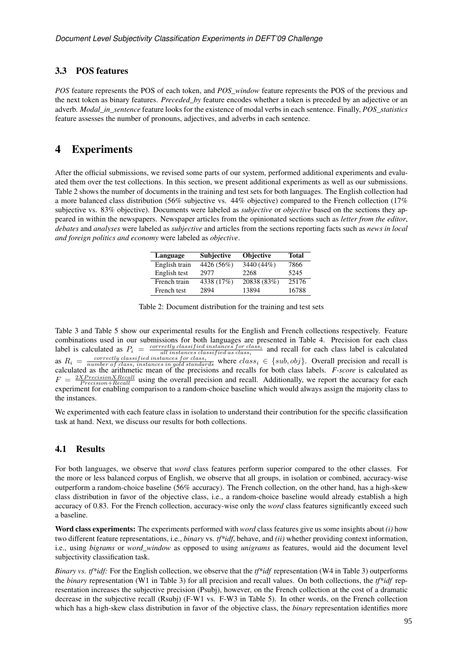#### 3.3 POS features

*POS* feature represents the POS of each token, and *POS\_window* feature represents the POS of the previous and the next token as binary features. *Preceded\_by* feature encodes whether a token is preceded by an adjective or an adverb. *Modal\_in\_sentence* feature looks for the existence of modal verbs in each sentence. Finally, *POS\_statistics* feature assesses the number of pronouns, adjectives, and adverbs in each sentence.

### 4 Experiments

After the official submissions, we revised some parts of our system, performed additional experiments and evaluated them over the test collections. In this section, we present additional experiments as well as our submissions. Table 2 shows the number of documents in the training and test sets for both languages. The English collection had a more balanced class distribution (56% subjective vs. 44% objective) compared to the French collection (17% subjective vs. 83% objective). Documents were labeled as *subjective* or *objective* based on the sections they appeared in within the newspapers. Newspaper articles from the opinionated sections such as *letter from the editor*, *debates* and *analyses* were labeled as *subjective* and articles from the sections reporting facts such as *news in local and foreign politics and economy* were labeled as *objective*.

| Language      | <b>Subjective</b> | <b>Objective</b> | <b>Total</b> |
|---------------|-------------------|------------------|--------------|
| English train | 4426 (56%)        | 3440 (44%)       | 7866         |
| English test  | 2977              | 2268             | 5245         |
| French train  | 4338 (17%)        | 20838 (83%)      | 25176        |
| French test   | 2894              | 13894            | 16788        |

| Table 2: Document distribution for the training and test sets |  |  |  |  |  |  |
|---------------------------------------------------------------|--|--|--|--|--|--|
|---------------------------------------------------------------|--|--|--|--|--|--|

Table 3 and Table 5 show our experimental results for the English and French collections respectively. Feature combinations used in our submissions for both languages are presented in Table 4. Precision for each class label is calculated as  $P_i = \frac{correctly\,classified\, instances\, for\, class}{all\, instances\, classified\, as\, class}$  and recall for each class label is calculated all instances classif ied as class<sup>i</sup> as  $R_i = \frac{correctly \, classified \, instances \, for \, class_i}{numbers \, of \, class_i \, instead \, and \, the \, class_i \, \in \{sub, obj\}.$  Overall precision and recall is calculated as the arithmetic mean of the precisions and recalls for both class labels. *F-score* is calculated as  $F = \frac{2X Precision X Recall}{Precision + Recall}$  using the overall precision and recall. Additionally, we report the accuracy for each experiment for enabling comparison to a random-choice baseline which would always assign the majority class to the instances.

We experimented with each feature class in isolation to understand their contribution for the specific classification task at hand. Next, we discuss our results for both collections.

#### 4.1 Results

For both languages, we observe that *word* class features perform superior compared to the other classes. For the more or less balanced corpus of English, we observe that all groups, in isolation or combined, accuracy-wise outperform a random-choice baseline (56% accuracy). The French collection, on the other hand, has a high-skew class distribution in favor of the objective class, i.e., a random-choice baseline would already establish a high accuracy of 0.83. For the French collection, accuracy-wise only the *word* class features significantly exceed such a baseline.

Word class experiments: The experiments performed with *word* class features give us some insights about *(i)* how two different feature representations, i.e., *binary* vs. *tf\*idf*, behave, and *(ii)* whether providing context information, i.e., using *bigrams* or *word\_window* as opposed to using *unigrams* as features, would aid the document level subjectivity classification task.

*Binary vs. tf\*idf:* For the English collection, we observe that the *tf\*idf* representation (W4 in Table 3) outperforms the *binary* representation (W1 in Table 3) for all precision and recall values. On both collections, the *tf\*idf* representation increases the subjective precision (Psubj), however, on the French collection at the cost of a dramatic decrease in the subjective recall (Rsubj) (F-W1 vs. F-W3 in Table 5). In other words, on the French collection which has a high-skew class distribution in favor of the objective class, the *binary* representation identifies more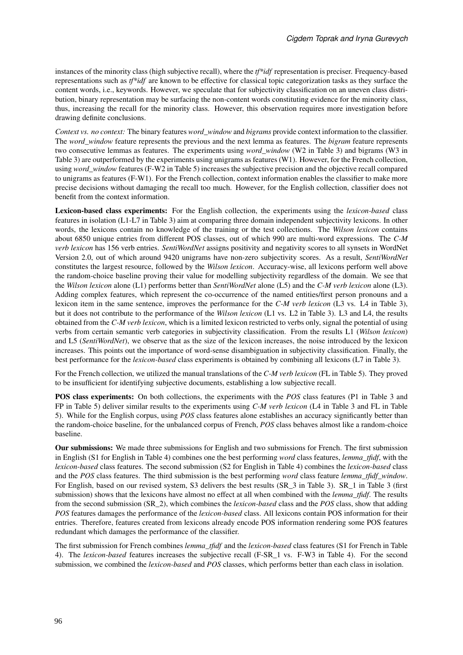instances of the minority class (high subjective recall), where the *tf\*idf* representation is preciser. Frequency-based representations such as *tf\*idf* are known to be effective for classical topic categorization tasks as they surface the content words, i.e., keywords. However, we speculate that for subjectivity classification on an uneven class distribution, binary representation may be surfacing the non-content words constituting evidence for the minority class, thus, increasing the recall for the minority class. However, this observation requires more investigation before drawing definite conclusions.

*Context vs. no context:* The binary features *word\_window* and *bigrams* provide context information to the classifier. The *word\_window* feature represents the previous and the next lemma as features. The *bigram* feature represents two consecutive lemmas as features. The experiments using *word\_window* (W2 in Table 3) and bigrams (W3 in Table 3) are outperformed by the experiments using unigrams as features (W1). However, for the French collection, using *word\_window* features (F-W2 in Table 5) increases the subjective precision and the objective recall compared to unigrams as features (F-W1). For the French collection, context information enables the classifier to make more precise decisions without damaging the recall too much. However, for the English collection, classifier does not benefit from the context information.

Lexicon-based class experiments: For the English collection, the experiments using the *lexicon-based* class features in isolation (L1-L7 in Table 3) aim at comparing three domain independent subjectivity lexicons. In other words, the lexicons contain no knowledge of the training or the test collections. The *Wilson lexicon* contains about 6850 unique entries from different POS classes, out of which 990 are multi-word expressions. The *C-M verb lexicon* has 156 verb entries. *SentiWordNet* assigns positivity and negativity scores to all synsets in WordNet Version 2.0, out of which around 9420 unigrams have non-zero subjectivity scores. As a result, *SentiWordNet* constitutes the largest resource, followed by the *Wilson lexicon*. Accuracy-wise, all lexicons perform well above the random-choice baseline proving their value for modelling subjectivity regardless of the domain. We see that the *Wilson lexicon* alone (L1) performs better than *SentiWordNet* alone (L5) and the *C-M verb lexicon* alone (L3). Adding complex features, which represent the co-occurrence of the named entities/first person pronouns and a lexicon item in the same sentence, improves the performance for the *C-M verb lexicon* (L3 vs. L4 in Table 3), but it does not contribute to the performance of the *Wilson lexicon* (L1 vs. L2 in Table 3). L3 and L4, the results obtained from the *C-M verb lexicon*, which is a limited lexicon restricted to verbs only, signal the potential of using verbs from certain semantic verb categories in subjectivity classification. From the results L1 (*Wilson lexicon*) and L5 (*SentiWordNet*), we observe that as the size of the lexicon increases, the noise introduced by the lexicon increases. This points out the importance of word-sense disambiguation in subjectivity classification. Finally, the best performance for the *lexicon-based* class experiments is obtained by combining all lexicons (L7 in Table 3).

For the French collection, we utilized the manual translations of the *C-M verb lexicon* (FL in Table 5). They proved to be insufficient for identifying subjective documents, establishing a low subjective recall.

POS class experiments: On both collections, the experiments with the *POS* class features (P1 in Table 3 and FP in Table 5) deliver similar results to the experiments using *C-M verb lexicon* (L4 in Table 3 and FL in Table 5). While for the English corpus, using *POS* class features alone establishes an accuracy significantly better than the random-choice baseline, for the unbalanced corpus of French, *POS* class behaves almost like a random-choice baseline.

Our submissions: We made three submissions for English and two submissions for French. The first submission in English (S1 for English in Table 4) combines one the best performing *word* class features, *lemma\_tfidf*, with the *lexicon-based* class features. The second submission (S2 for English in Table 4) combines the *lexicon-based* class and the *POS* class features. The third submission is the best performing *word* class feature *lemma\_tfidf\_window*. For English, based on our revised system, S3 delivers the best results (SR\_3 in Table 3). SR\_1 in Table 3 (first submission) shows that the lexicons have almost no effect at all when combined with the *lemma\_tfidf*. The results from the second submission (SR\_2), which combines the *lexicon-based* class and the *POS* class, show that adding *POS* features damages the performance of the *lexicon-based* class. All lexicons contain POS information for their entries. Therefore, features created from lexicons already encode POS information rendering some POS features redundant which damages the performance of the classifier.

The first submission for French combines *lemma\_tfidf* and the *lexicon-based* class features (S1 for French in Table 4). The *lexicon-based* features increases the subjective recall (F-SR\_1 vs. F-W3 in Table 4). For the second submission, we combined the *lexicon-based* and *POS* classes, which performs better than each class in isolation.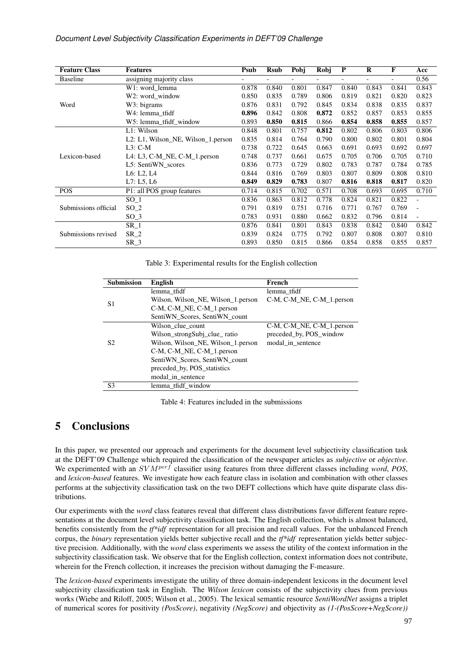#### *Document Level Subjectivity Classification Experiments in DEFT'09 Challenge*

| <b>Feature Class</b> | <b>Features</b>                         | <b>Psub</b> | <b>Rsub</b> | Pobj  | Robj  | $\mathbf P$ | $\bf R$ | F     | Acc            |
|----------------------|-----------------------------------------|-------------|-------------|-------|-------|-------------|---------|-------|----------------|
| <b>Baseline</b>      | assigning majority class                | Ξ.          |             |       |       | -           |         |       | 0.56           |
|                      | W1: word lemma                          | 0.878       | 0.840       | 0.801 | 0.847 | 0.840       | 0.843   | 0.841 | 0.843          |
|                      | W2: word window                         | 0.850       | 0.835       | 0.789 | 0.806 | 0.819       | 0.821   | 0.820 | 0.823          |
| Word                 | W3: bigrams                             | 0.876       | 0.831       | 0.792 | 0.845 | 0.834       | 0.838   | 0.835 | 0.837          |
|                      | W4: lemma tfidf                         | 0.896       | 0.842       | 0.808 | 0.872 | 0.852       | 0.857   | 0.853 | 0.855          |
|                      | W5: lemma_tfidf_window                  | 0.893       | 0.850       | 0.815 | 0.866 | 0.854       | 0.858   | 0.855 | 0.857          |
|                      | L1: Wilson                              | 0.848       | 0.801       | 0.757 | 0.812 | 0.802       | 0.806   | 0.803 | 0.806          |
|                      | L2: L1, Wilson NE, Wilson 1. person     | 0.835       | 0.814       | 0.764 | 0.790 | 0.800       | 0.802   | 0.801 | 0.804          |
|                      | $L3: C-M$                               | 0.738       | 0.722       | 0.645 | 0.663 | 0.691       | 0.693   | 0.692 | 0.697          |
| Lexicon-based        | L4: L3, C-M_NE, C-M_1. person           | 0.748       | 0.737       | 0.661 | 0.675 | 0.705       | 0.706   | 0.705 | 0.710          |
|                      | L5: SentiWN_scores                      | 0.836       | 0.773       | 0.729 | 0.802 | 0.783       | 0.787   | 0.784 | 0.785          |
|                      | L6: L2, L4                              | 0.844       | 0.816       | 0.769 | 0.803 | 0.807       | 0.809   | 0.808 | 0.810          |
|                      | L7: L5, L6                              | 0.849       | 0.829       | 0.783 | 0.807 | 0.816       | 0.818   | 0.817 | 0.820          |
| <b>POS</b>           | $\overline{P1:}$ all POS group features | 0.714       | 0.815       | 0.702 | 0.571 | 0.708       | 0.693   | 0.695 | 0.710          |
| Submissions official | $SO_1$                                  | 0.836       | 0.863       | 0.812 | 0.778 | 0.824       | 0.821   | 0.822 |                |
|                      | $SO_2$                                  | 0.791       | 0.819       | 0.751 | 0.716 | 0.771       | 0.767   | 0.769 | $\overline{a}$ |
|                      | $SO_3$                                  | 0.783       | 0.931       | 0.880 | 0.662 | 0.832       | 0.796   | 0.814 |                |
|                      | $SR_1$                                  | 0.876       | 0.841       | 0.801 | 0.843 | 0.838       | 0.842   | 0.840 | 0.842          |
| Submissions revised  | $SR_2$                                  | 0.839       | 0.824       | 0.775 | 0.792 | 0.807       | 0.808   | 0.807 | 0.810          |
|                      | SR <sub>3</sub>                         | 0.893       | 0.850       | 0.815 | 0.866 | 0.854       | 0.858   | 0.855 | 0.857          |

Table 3: Experimental results for the English collection

| <b>Submission</b> | English                             | French                         |
|-------------------|-------------------------------------|--------------------------------|
|                   | lemma tfidf                         | lemma tfidf                    |
| S1                | Wilson, Wilson NE, Wilson 1. person | $C-M, C-M$ NE, $C-M$ 1. person |
|                   | C-M, C-M_NE, C-M_1.person           |                                |
|                   | SentiWN Scores, SentiWN count       |                                |
|                   | Wilson clue count                   | $C-M, C-M$ NE, $C-M$ 1. person |
|                   | Wilson_strongSubj_clue_ratio        | preceded by, POS window        |
| S2                | Wilson, Wilson NE, Wilson 1. person | modal in sentence              |
|                   | C-M, C-M_NE, C-M_1.person           |                                |
|                   | SentiWN Scores, SentiWN count       |                                |
|                   | preceded by, POS statistics         |                                |
|                   | modal in sentence                   |                                |
| S3                | lemma tfidf window                  |                                |

Table 4: Features included in the submissions

## 5 Conclusions

In this paper, we presented our approach and experiments for the document level subjectivity classification task at the DEFT'09 Challenge which required the classification of the newspaper articles as *subjective* or *objective*. We experimented with an  $SVM^{perf}$  classifier using features from three different classes including *word*, *POS*, and *lexicon-based* features. We investigate how each feature class in isolation and combination with other classes performs at the subjectivity classification task on the two DEFT collections which have quite disparate class distributions.

Our experiments with the *word* class features reveal that different class distributions favor different feature representations at the document level subjectivity classification task. The English collection, which is almost balanced, benefits consistently from the *tf\*idf* representation for all precision and recall values. For the unbalanced French corpus, the *binary* representation yields better subjective recall and the *tf\*idf* representation yields better subjective precision. Additionally, with the *word* class experiments we assess the utility of the context information in the subjectivity classification task. We observe that for the English collection, context information does not contribute, wherein for the French collection, it increases the precision without damaging the F-measure.

The *lexicon-based* experiments investigate the utility of three domain-independent lexicons in the document level subjectivity classification task in English. The *Wilson lexicon* consists of the subjectivity clues from previous works (Wiebe and Riloff, 2005; Wilson et al., 2005). The lexical semantic resource *SentiWordNet* assigns a triplet of numerical scores for positivity *(PosScore)*, negativity *(NegScore)* and objectivity as *(1-(PosScore+NegScore))*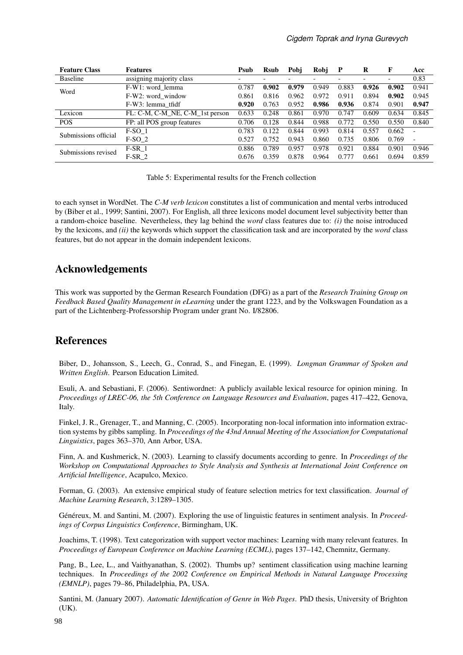| <b>Feature Class</b> | <b>Features</b>                 | Psub                     | <b>Rsub</b> | Pobi  | Robi  | P     | R     | F     | Acc                      |
|----------------------|---------------------------------|--------------------------|-------------|-------|-------|-------|-------|-------|--------------------------|
| Baseline             | assigning majority class        | $\overline{\phantom{a}}$ |             |       |       |       |       |       | 0.83                     |
| Word                 | F-W1: word lemma                | 0.787                    | 0.902       | 0.979 | 0.949 | 0.883 | 0.926 | 0.902 | 0.941                    |
|                      | F-W2: word window               | 0.861                    | 0.816       | 0.962 | 0.972 | 0.911 | 0.894 | 0.902 | 0.945                    |
|                      | F-W3: lemma tfidf               | 0.920                    | 0.763       | 0.952 | 0.986 | 0.936 | 0.874 | 0.901 | 0.947                    |
| Lexicon              | FL: C-M, C-M_NE, C-M_1st person | 0.633                    | 0.248       | 0.861 | 0.970 | 0.747 | 0.609 | 0.634 | 0.845                    |
| <b>POS</b>           | FP: all POS group features      | 0.706                    | 0.128       | 0.844 | 0.988 | 0.772 | 0.550 | 0.550 | 0.840                    |
| Submissions official | $F-SO_1$                        | 0.783                    | 0.122       | 0.844 | 0.993 | 0.814 | 0.557 | 0.662 |                          |
|                      | $F-SO2$                         | 0.527                    | 0.752       | 0.943 | 0.860 | 0.735 | 0.806 | 0.769 | $\overline{\phantom{a}}$ |
| Submissions revised  | $F-SR$ 1                        | 0.886                    | 0.789       | 0.957 | 0.978 | 0.921 | 0.884 | 0.901 | 0.946                    |
|                      | $F-SR2$                         | 0.676                    | 0.359       | 0.878 | 0.964 | 0.777 | 0.661 | 0.694 | 0.859                    |

Table 5: Experimental results for the French collection

to each synset in WordNet. The *C-M verb lexicon* constitutes a list of communication and mental verbs introduced by (Biber et al., 1999; Santini, 2007). For English, all three lexicons model document level subjectivity better than a random-choice baseline. Nevertheless, they lag behind the *word* class features due to: *(i)* the noise introduced by the lexicons, and *(ii)* the keywords which support the classification task and are incorporated by the *word* class features, but do not appear in the domain independent lexicons.

## Acknowledgements

This work was supported by the German Research Foundation (DFG) as a part of the *Research Training Group on Feedback Based Quality Management in eLearning* under the grant 1223, and by the Volkswagen Foundation as a part of the Lichtenberg-Professorship Program under grant No. I/82806.

## **References**

Biber, D., Johansson, S., Leech, G., Conrad, S., and Finegan, E. (1999). *Longman Grammar of Spoken and Written English*. Pearson Education Limited.

Esuli, A. and Sebastiani, F. (2006). Sentiwordnet: A publicly available lexical resource for opinion mining. In *Proceedings of LREC-06, the 5th Conference on Language Resources and Evaluation*, pages 417–422, Genova, Italy.

Finkel, J. R., Grenager, T., and Manning, C. (2005). Incorporating non-local information into information extraction systems by gibbs sampling. In *Proceedings of the 43nd Annual Meeting of the Association for Computational Linguistics*, pages 363–370, Ann Arbor, USA.

Finn, A. and Kushmerick, N. (2003). Learning to classify documents according to genre. In *Proceedings of the Workshop on Computational Approaches to Style Analysis and Synthesis at International Joint Conference on Artificial Intelligence*, Acapulco, Mexico.

Forman, G. (2003). An extensive empirical study of feature selection metrics for text classification. *Journal of Machine Learning Research*, 3:1289–1305.

Généreux, M. and Santini, M. (2007). Exploring the use of linguistic features in sentiment analysis. In *Proceedings of Corpus Linguistics Conference*, Birmingham, UK.

Joachims, T. (1998). Text categorization with support vector machines: Learning with many relevant features. In *Proceedings of European Conference on Machine Learning (ECML)*, pages 137–142, Chemnitz, Germany.

Pang, B., Lee, L., and Vaithyanathan, S. (2002). Thumbs up? sentiment classification using machine learning techniques. In *Proceedings of the 2002 Conference on Empirical Methods in Natural Language Processing (EMNLP)*, pages 79–86, Philadelphia, PA, USA.

Santini, M. (January 2007). *Automatic Identification of Genre in Web Pages*. PhD thesis, University of Brighton (UK).